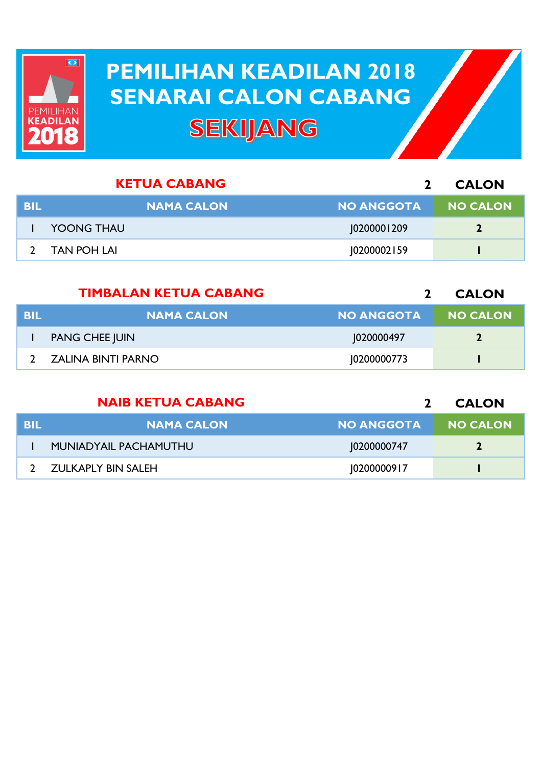

## **PEMILIHAN KEADILAN 2018 PEMILIHAN KEADILAN 2018 SENARAI CALON CABANG SENARAI CALON CABANGSEKIJANG**

|            | <b>KETUA CABANG</b> |                   | <b>CALON</b>    |
|------------|---------------------|-------------------|-----------------|
| <b>BIL</b> | <b>NAMA CALON</b>   | <b>NO ANGGOTA</b> | <b>NO CALON</b> |
|            | <b>YOONG THAU</b>   | 10200001209       |                 |
|            | <b>TAN POH LAI</b>  | 10200002159       |                 |
|            |                     |                   |                 |

|            | <b>TIMBALAN KETUA CABANG</b> |                   | <b>CALON</b>    |
|------------|------------------------------|-------------------|-----------------|
| <b>BIL</b> | <b>NAMA CALON</b>            | <b>NO ANGGOTA</b> | <b>NO CALON</b> |
|            | <b>PANG CHEE JUIN</b>        | 1020000497        | 7               |
|            | ZALINA BINTI PARNO           | 10200000773       |                 |

|      | <b>NAIB KETUA CABANG</b> |                   | <b>CALON</b>    |
|------|--------------------------|-------------------|-----------------|
| -BIL | <b>NAMA CALON</b>        | <b>NO ANGGOTA</b> | <b>NO CALON</b> |
|      | MUNIADYAIL PACHAMUTHU    | 10200000747       | $\mathbf{2}$    |
|      | ZULKAPLY BIN SALEH       | 10200000917       |                 |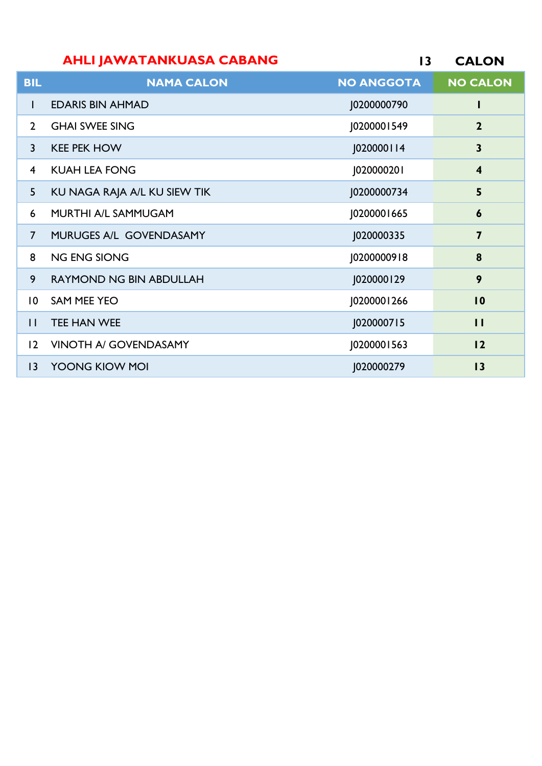## **CALON AHLI JAWATANKUASA CABANG**

| <b>BIL</b>      | <b>NAMA CALON</b>              | <b>NO ANGGOTA</b> | <b>NO CALON</b>         |
|-----------------|--------------------------------|-------------------|-------------------------|
| L               | <b>EDARIS BIN AHMAD</b>        | J0200000790       | I                       |
| $\overline{2}$  | <b>GHAI SWEE SING</b>          | J0200001549       | $\overline{2}$          |
| $\overline{3}$  | <b>KEE PEK HOW</b>             | J020000114        | $\mathbf{3}$            |
| $\overline{4}$  | <b>KUAH LEA FONG</b>           | J020000201        | $\overline{\mathbf{4}}$ |
| 5               | KU NAGA RAJA A/L KU SIEW TIK   | J0200000734       | 5                       |
| 6               | MURTHI A/L SAMMUGAM            | J0200001665       | 6                       |
| $\overline{7}$  | MURUGES A/L GOVENDASAMY        | J020000335        | $\overline{\mathbf{z}}$ |
| 8               | <b>NG ENG SIONG</b>            | J0200000918       | $\boldsymbol{8}$        |
| 9               | <b>RAYMOND NG BIN ABDULLAH</b> | J020000129        | 9                       |
| $\overline{10}$ | <b>SAM MEE YEO</b>             | J0200001266       | 10                      |
| $\mathbf{1}$    | <b>TEE HAN WEE</b>             | J020000715        | $\mathbf{H}$            |
| $ 2\rangle$     | <b>VINOTH A/ GOVENDASAMY</b>   | J0200001563       | 12                      |
| $ 3\rangle$     | YOONG KIOW MOI                 | J020000279        | 13                      |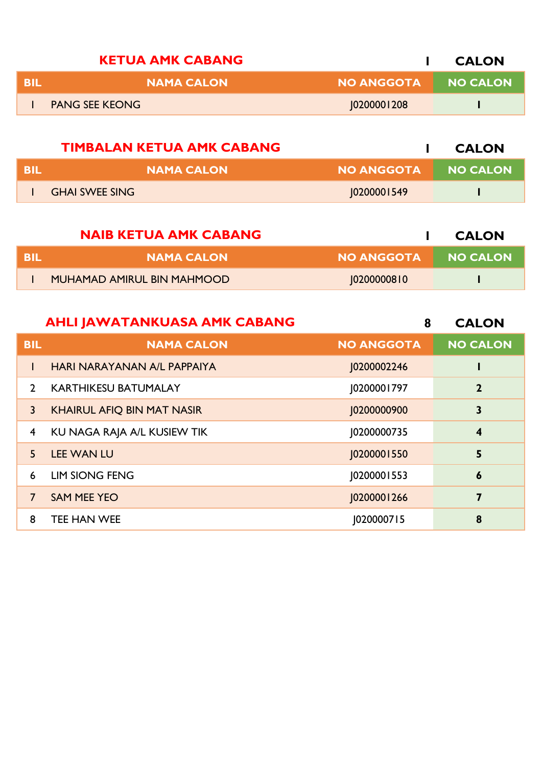| <b>KETUA AMK CABANG</b> |                   | <b>CALON</b> |
|-------------------------|-------------------|--------------|
| <b>NAMA CALON</b>       | <b>NO ANGGOTA</b> | NO CALON     |
| <b>PANG SEE KEONG</b>   | 0200001208        |              |
|                         |                   |              |

|      | <b>TIMBALAN KETUA AMK CABANG</b> |            | <b>CALON</b>    |
|------|----------------------------------|------------|-----------------|
| -BIL | <b>NAMA CALON</b>                | NO ANGGOTA | <b>NO CALON</b> |
|      | <b>GHAI SWEE SING</b>            | 0200001549 |                 |

|     | <b>NAIB KETUA AMK CABANG</b>      |            | <b>CALON</b> |
|-----|-----------------------------------|------------|--------------|
| BIL | <b>NAMA CALON</b>                 | NO ANGGOTA | NO CALON     |
|     | <b>MUHAMAD AMIRUL BIN MAHMOOD</b> | 02000008 0 |              |

|               | <b>AHLI JAWATANKUASA AMK CABANG</b> | 8                 | <b>CALON</b>            |
|---------------|-------------------------------------|-------------------|-------------------------|
| <b>BIL</b>    | <b>NAMA CALON</b>                   | <b>NO ANGGOTA</b> | <b>NO CALON</b>         |
| L             | HARI NARAYANAN A/L PAPPAIYA         | J0200002246       |                         |
| $\mathcal{P}$ | <b>KARTHIKESU BATUMALAY</b>         | 0200001797        | $\overline{2}$          |
| $\mathbf{3}$  | <b>KHAIRUL AFIQ BIN MAT NASIR</b>   | 10200000900       | $\mathbf{3}$            |
| 4             | KU NAGA RAJA A/L KUSIEW TIK         | 10200000735       | $\overline{\mathbf{4}}$ |
| 5             | <b>LEE WAN LU</b>                   | 10200001550       | 5                       |
| 6             | <b>LIM SIONG FENG</b>               | [0200001553       | $\boldsymbol{6}$        |
| 7             | <b>SAM MEE YEO</b>                  | 10200001266       | 7                       |
| 8             | TEE HAN WEE                         | J020000715        | 8                       |